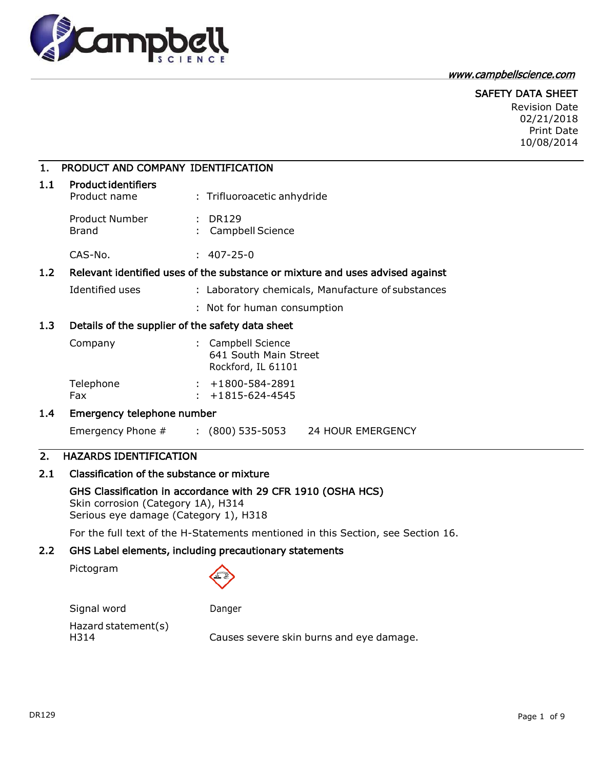

#### [www.campbellscience.com](http://www.campbellscience.com/)

## SAFETY DATA SHEET

Revision Date 02/21/2018 Print Date 10/08/2014

## 1. PRODUCT AND COMPANY IDENTIFICATION

| 1.1 | <b>Product identifiers</b><br>Product name | : Trifluoroacetic anhydride   |
|-----|--------------------------------------------|-------------------------------|
|     | Product Number<br>Brand                    | : DR129<br>: Campbell Science |
|     | CAS-No.                                    | 407-25-0                      |

## 1.2 Relevant identified uses of the substance or mixture and uses advised against

- Identified uses : ignoratory chemicals, Manufacture of substances
	- : Not for human consumption

## 1.3 Details of the supplier of the safety data sheet

| Company   | : Campbell Science<br>641 South Main Street<br>Rockford, IL 61101 |
|-----------|-------------------------------------------------------------------|
| Telephone | $: +1800 - 584 - 2891$                                            |
| Fax       | $\div$ +1815-624-4545                                             |

## 1.4 Emergency telephone number

Emergency Phone # : (800) 535-5053 24 HOUR EMERGENCY

# 2. HAZARDS IDENTIFICATION

# 2.1 Classification of the substance or mixture

#### GHS Classification in accordance with 29 CFR 1910 (OSHA HCS) Skin corrosion (Category 1A), H314

Serious eye damage (Category 1), H318

For the full text of the H-Statements mentioned in this Section, see Section 16.

# 2.2 GHS Label elements, including precautionary statements

Pictogram

Signal word Danger

Hazard statement(s)

H314 Causes severe skin burns and eye damage.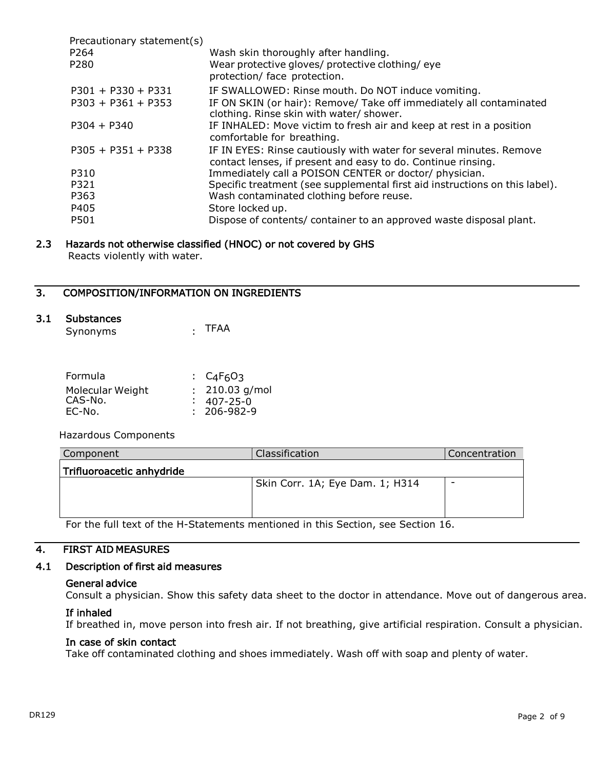| Precautionary statement(s) |                                                                                                                                     |
|----------------------------|-------------------------------------------------------------------------------------------------------------------------------------|
| P <sub>264</sub>           | Wash skin thoroughly after handling.                                                                                                |
| P280                       | Wear protective gloves/ protective clothing/ eye<br>protection/ face protection.                                                    |
| $P301 + P330 + P331$       | IF SWALLOWED: Rinse mouth. Do NOT induce vomiting.                                                                                  |
| $P303 + P361 + P353$       | IF ON SKIN (or hair): Remove/ Take off immediately all contaminated<br>clothing. Rinse skin with water/ shower.                     |
| $P304 + P340$              | IF INHALED: Move victim to fresh air and keep at rest in a position<br>comfortable for breathing.                                   |
| $P305 + P351 + P338$       | IF IN EYES: Rinse cautiously with water for several minutes. Remove<br>contact lenses, if present and easy to do. Continue rinsing. |
| P310                       | Immediately call a POISON CENTER or doctor/ physician.                                                                              |
| P321                       | Specific treatment (see supplemental first aid instructions on this label).                                                         |
| P363                       | Wash contaminated clothing before reuse.                                                                                            |
| P405                       | Store locked up.                                                                                                                    |
| P501                       | Dispose of contents/ container to an approved waste disposal plant.                                                                 |

### 2.3 Hazards not otherwise classified (HNOC) or not covered by GHS Reacts violently with water.

# 3. COMPOSITION/INFORMATION ON INGREDIENTS

#### 3.1 Substances

Synonyms : TFAA

| Formula          | $\cdot$ C <sub>4</sub> F <sub>6</sub> O <sub>3</sub> |
|------------------|------------------------------------------------------|
| Molecular Weight | $: 210.03$ g/mol                                     |
| CAS-No.          | $: 407 - 25 - 0$                                     |
| EC-No.           | $: 206 - 982 - 9$                                    |

Hazardous Components

| Component                 | Classification                  | Concentration |
|---------------------------|---------------------------------|---------------|
| Trifluoroacetic anhydride |                                 |               |
|                           | Skin Corr. 1A; Eye Dam. 1; H314 |               |
|                           |                                 |               |
|                           |                                 |               |

For the full text of the H-Statements mentioned in this Section, see Section 16.

## 4. FIRST AID MEASURES

#### 4.1 Description of first aid measures

#### General advice

Consult a physician. Show this safety data sheet to the doctor in attendance. Move out of dangerous area.

#### If inhaled

If breathed in, move person into fresh air. If not breathing, give artificial respiration. Consult a physician.

## In case of skin contact

Take off contaminated clothing and shoes immediately. Wash off with soap and plenty of water.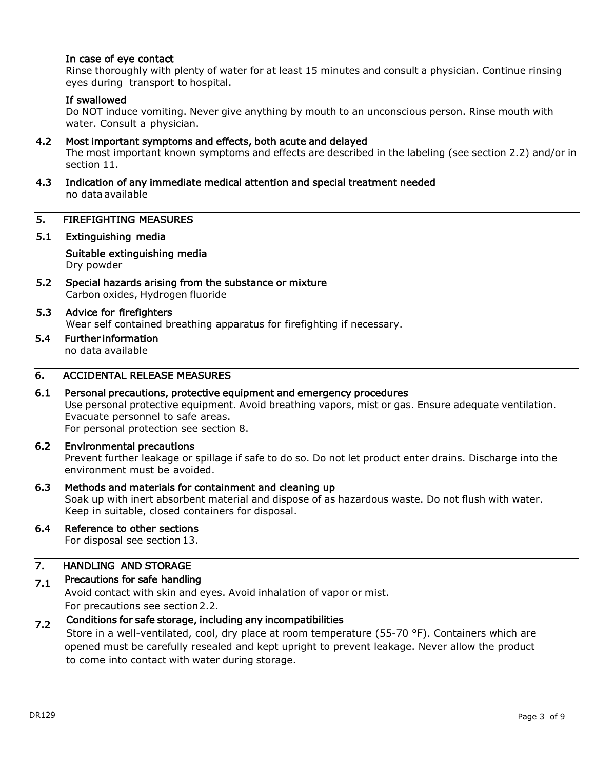## In case of eye contact

Rinse thoroughly with plenty of water for at least 15 minutes and consult a physician. Continue rinsing eyes during transport to hospital.

## If swallowed

Do NOT induce vomiting. Never give anything by mouth to an unconscious person. Rinse mouth with water. Consult a physician.

## 4.2 Most important symptoms and effects, both acute and delayed

The most important known symptoms and effects are described in the labeling (see section 2.2) and/or in section 11.

## 4.3 Indication of any immediate medical attention and special treatment needed no data available

## 5. FIREFIGHTING MEASURES

## 5.1 Extinguishing media

Suitable extinguishing media Dry powder

5.2 Special hazards arising from the substance or mixture Carbon oxides, Hydrogen fluoride

# 5.3 Advice for firefighters Wear self contained breathing apparatus for firefighting if necessary.

5.4 Further information no data available

# 6. ACCIDENTAL RELEASE MEASURES

## 6.1 Personal precautions, protective equipment and emergency procedures

Use personal protective equipment. Avoid breathing vapors, mist or gas. Ensure adequate ventilation. Evacuate personnel to safe areas.

For personal protection see section 8.

## 6.2 Environmental precautions

Prevent further leakage or spillage if safe to do so. Do not let product enter drains. Discharge into the environment must be avoided.

## 6.3 Methods and materials for containment and cleaning up

Soak up with inert absorbent material and dispose of as hazardous waste. Do not flush with water. Keep in suitable, closed containers for disposal.

## 6.4 Reference to other sections

For disposal see section 13.

#### 7. HANDLING AND STORAGE

#### 7.1 Precautions for safe handling

Avoid contact with skin and eyes. Avoid inhalation of vapor or mist. For precautions see section 2.2.

#### 7.2 Conditions for safe storage, including any incompatibilities

Store in a well-ventilated, cool, dry place at room temperature (55-70 °F). Containers which are opened must be carefully resealed and kept upright to prevent leakage. Never allow the product to come into contact with water during storage.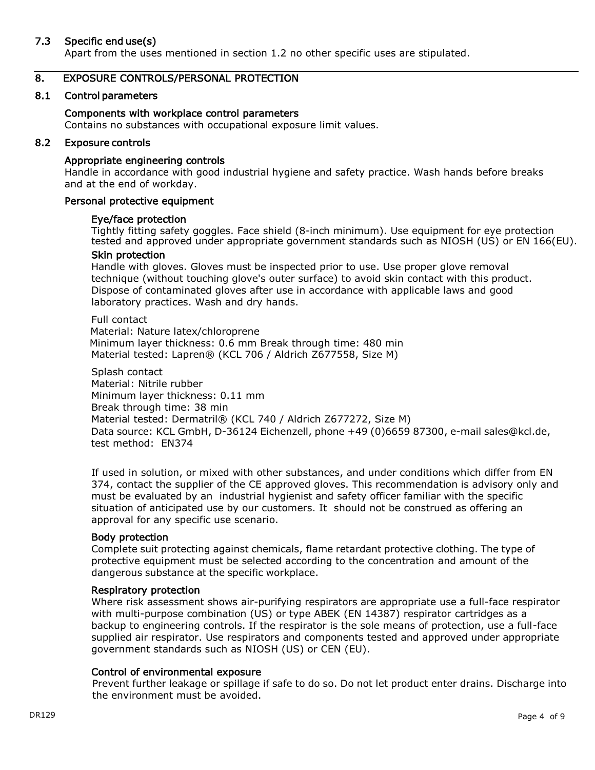## 7.3 Specific end use(s)

Apart from the uses mentioned in section 1.2 no other specific uses are stipulated.

## 8. EXPOSURE CONTROLS/PERSONAL PROTECTION

## 8.1 Control parameters

### Components with workplace control parameters

Contains no substances with occupational exposure limit values.

#### 8.2 Exposure controls

### Appropriate engineering controls

Handle in accordance with good industrial hygiene and safety practice. Wash hands before breaks and at the end of workday.

### Personal protective equipment

#### Eye/face protection

Tightly fitting safety goggles. Face shield (8-inch minimum). Use equipment for eye protection tested and approved under appropriate government standards such as NIOSH (US) or EN 166(EU).

#### Skin protection

Handle with gloves. Gloves must be inspected prior to use. Use proper glove removal technique (without touching glove's outer surface) to avoid skin contact with this product. Dispose of contaminated gloves after use in accordance with applicable laws and good laboratory practices. Wash and dry hands.

Full contact Material: Nature latex/chloroprene Minimum layer thickness: 0.6 mm Break through time: 480 min Material tested: Lapren® (KCL 706 / Aldrich Z677558, Size M)

Splash contact Material: Nitrile rubber Minimum layer thickness: 0.11 mm Break through time: 38 min Material tested: Dermatril® (KCL 740 / Aldrich Z677272, Size M) Data source: KCL GmbH, D-36124 Eichenzell, phone +49 (0)6659 87300, e-mail [sales@kcl.de,](mailto:sales@kcl.de) test method: EN374

If used in solution, or mixed with other substances, and under conditions which differ from EN 374, contact the supplier of the CE approved gloves. This recommendation is advisory only and must be evaluated by an industrial hygienist and safety officer familiar with the specific situation of anticipated use by our customers. It should not be construed as offering an approval for any specific use scenario.

## Body protection

Complete suit protecting against chemicals, flame retardant protective clothing. The type of protective equipment must be selected according to the concentration and amount of the dangerous substance at the specific workplace.

#### Respiratory protection

Where risk assessment shows air-purifying respirators are appropriate use a full-face respirator with multi-purpose combination (US) or type ABEK (EN 14387) respirator cartridges as a backup to engineering controls. If the respirator is the sole means of protection, use a full-face supplied air respirator. Use respirators and components tested and approved under appropriate government standards such as NIOSH (US) or CEN (EU).

## Control of environmental exposure

Prevent further leakage or spillage if safe to do so. Do not let product enter drains. Discharge into the environment must be avoided.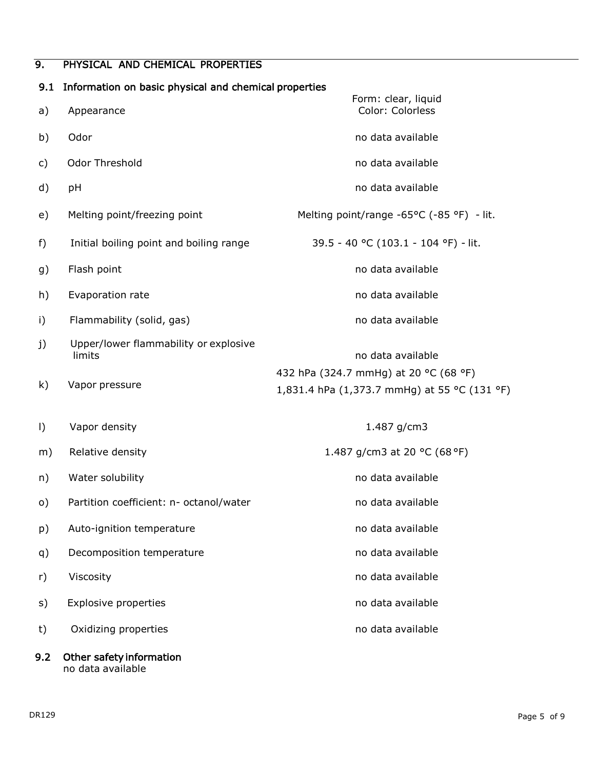# 9. PHYSICAL AND CHEMICAL PROPERTIES

| 9.1     | Information on basic physical and chemical properties |                                                                                       |  |  |
|---------|-------------------------------------------------------|---------------------------------------------------------------------------------------|--|--|
| a)      | Appearance                                            | Form: clear, liquid<br>Color: Colorless                                               |  |  |
| b)      | Odor                                                  | no data available                                                                     |  |  |
| c)      | Odor Threshold                                        | no data available                                                                     |  |  |
| d)      | pH                                                    | no data available                                                                     |  |  |
| e)      | Melting point/freezing point                          | Melting point/range -65°C (-85 °F) - lit.                                             |  |  |
| f)      | Initial boiling point and boiling range               | 39.5 - 40 °C (103.1 - 104 °F) - lit.                                                  |  |  |
| g)      | Flash point                                           | no data available                                                                     |  |  |
| h)      | Evaporation rate                                      | no data available                                                                     |  |  |
| i)      | Flammability (solid, gas)                             | no data available                                                                     |  |  |
| j)      | Upper/lower flammability or explosive<br>limits       | no data available                                                                     |  |  |
| k)      | Vapor pressure                                        | 432 hPa (324.7 mmHg) at 20 °C (68 °F)<br>1,831.4 hPa (1,373.7 mmHg) at 55 °C (131 °F) |  |  |
| $\vert$ | Vapor density                                         | 1.487 g/cm3                                                                           |  |  |
| m)      | Relative density                                      | 1.487 g/cm3 at 20 °C (68 °F)                                                          |  |  |
| n)      | Water solubility                                      | no data available                                                                     |  |  |
| o)      | Partition coefficient: n- octanol/water               | no data available                                                                     |  |  |
| p)      | Auto-ignition temperature                             | no data available                                                                     |  |  |
| q)      | Decomposition temperature                             | no data available                                                                     |  |  |
| r)      | Viscosity                                             | no data available                                                                     |  |  |
| s)      | Explosive properties                                  | no data available                                                                     |  |  |
| t)      | Oxidizing properties                                  | no data available                                                                     |  |  |
| 9.2     | Other safety information                              |                                                                                       |  |  |

no data available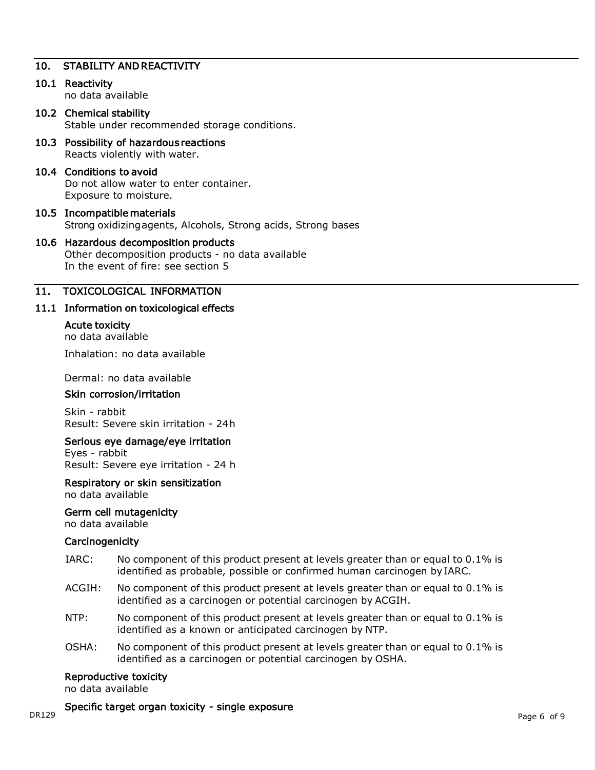## 10. STABILITY AND REACTIVITY

## 10.1 Reactivity

no data available

#### 10.2 Chemical stability Stable under recommended storage conditions.

10.3 Possibility of hazardous reactions Reacts violently with water.

### 10.4 Conditions to avoid

Do not allow water to enter container. Exposure to moisture.

#### 10.5 Incompatible materials Strong oxidizingagents, Alcohols, Strong acids, Strong bases

## 10.6 Hazardous decomposition products

Other decomposition products - no data available In the event of fire: see section 5

## 11. TOXICOLOGICAL INFORMATION

### 11.1 Information on toxicological effects

#### Acute toxicity

no data available

Inhalation: no data available

Dermal: no data available

#### Skin corrosion/irritation

Skin - rabbit Result: Severe skin irritation - 24h

#### Serious eye damage/eye irritation

Eyes - rabbit Result: Severe eye irritation - 24 h

## Respiratory or skin sensitization

no data available

# Germ cell mutagenicity

no data available

#### **Carcinogenicity**

- IARC: No component of this product present at levels greater than or equal to 0.1% is identified as probable, possible or confirmed human carcinogen by IARC.
- ACGIH: No component of this product present at levels greater than or equal to 0.1% is identified as a carcinogen or potential carcinogen by ACGIH.
- NTP: No component of this product present at levels greater than or equal to 0.1% is identified as a known or anticipated carcinogen by NTP.
- OSHA: No component of this product present at levels greater than or equal to  $0.1\%$  is identified as a carcinogen or potential carcinogen by OSHA.

#### Reproductive toxicity

no data available

DR129 Page 6 of 9 Specific target organ toxicity - single exposure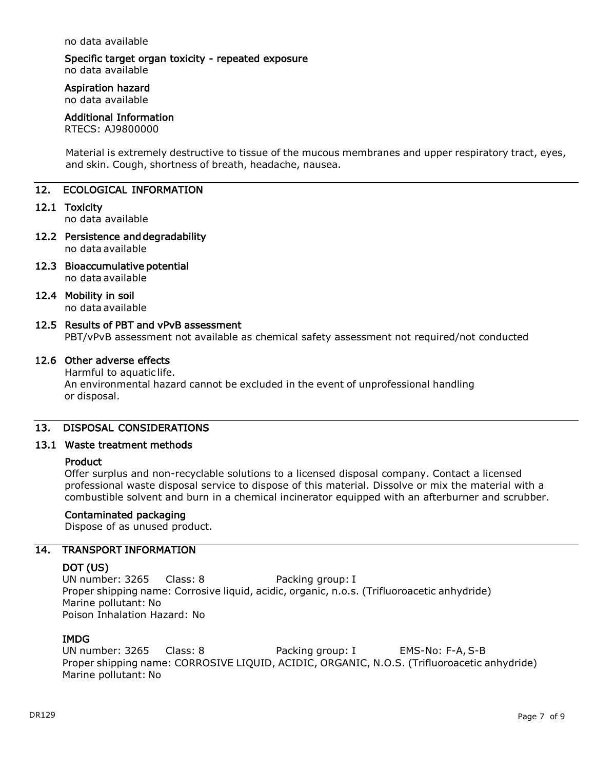no data available

# Specific target organ toxicity - repeated exposure

no data available

## Aspiration hazard

no data available

## Additional Information

RTECS: AJ9800000

Material is extremely destructive to tissue of the mucous membranes and upper respiratory tract, eyes, and skin. Cough, shortness of breath, headache, nausea.

## 12. ECOLOGICAL INFORMATION

### 12.1 Toxicity

no data available

- 12.2 Persistence and degradability no data available
- 12.3 Bioaccumulative potential no data available

### 12.4 Mobility in soil

no data available

## 12.5 Results of PBT and vPvB assessment

PBT/vPvB assessment not available as chemical safety assessment not required/not conducted

## 12.6 Other adverse effects

Harmful to aquatic life. An environmental hazard cannot be excluded in the event of unprofessional handling or disposal.

## 13. DISPOSAL CONSIDERATIONS

## 13.1 Waste treatment methods

#### Product

Offer surplus and non-recyclable solutions to a licensed disposal company. Contact a licensed professional waste disposal service to dispose of this material. Dissolve or mix the material with a combustible solvent and burn in a chemical incinerator equipped with an afterburner and scrubber.

## Contaminated packaging

Dispose of as unused product.

## 14. TRANSPORT INFORMATION

#### DOT (US)

UN number: 3265 Class: 8 Packing group: I Proper shipping name: Corrosive liquid, acidic, organic, n.o.s. (Trifluoroacetic anhydride) Marine pollutant: No Poison Inhalation Hazard: No

## IMDG

UN number: 3265 Class: 8 Packing group: I EMS-No: F-A, S-B Proper shipping name: CORROSIVE LIQUID, ACIDIC, ORGANIC, N.O.S. (Trifluoroacetic anhydride) Marine pollutant: No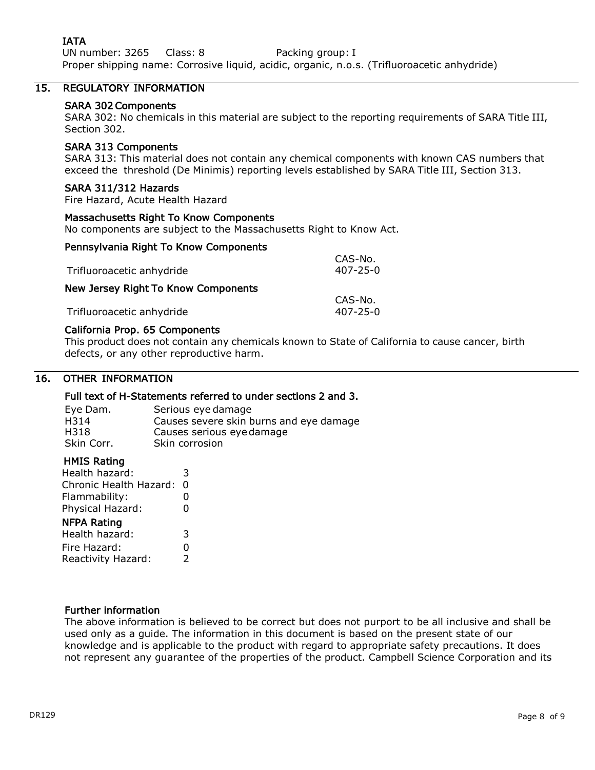# IATA

UN number: 3265 Class: 8 Packing group: I Proper shipping name: Corrosive liquid, acidic, organic, n.o.s. (Trifluoroacetic anhydride)

# 15. REGULATORY INFORMATION

## SARA 302 Components

SARA 302: No chemicals in this material are subject to the reporting requirements of SARA Title III, Section 302.

## SARA 313 Components

SARA 313: This material does not contain any chemical components with known CAS numbers that exceed the threshold (De Minimis) reporting levels established by SARA Title III, Section 313.

### SARA 311/312 Hazards

Fire Hazard, Acute Health Hazard

### Massachusetts Right To Know Components

No components are subject to the Massachusetts Right to Know Act.

### Pennsylvania Right To Know Components

| Trifluoroacetic anhydride           | CAS-No.<br>407-25-0       |
|-------------------------------------|---------------------------|
| New Jersey Right To Know Components |                           |
| Trifluoroacetic anhydride           | CAS-No.<br>$407 - 25 - 0$ |

### California Prop. 65 Components

This product does not contain any chemicals known to State of California to cause cancer, birth defects, or any other reproductive harm.

### 16. OTHER INFORMATION

## Full text of H-Statements referred to under sections 2 and 3.

| Eye Dam.   | Serious eye damage                      |
|------------|-----------------------------------------|
| H314       | Causes severe skin burns and eye damage |
| H318       | Causes serious eye damage               |
| Skin Corr. | Skin corrosion                          |

#### HMIS Rating

| Health hazard:         | 3  |
|------------------------|----|
| Chronic Health Hazard: | 0  |
| Flammability:          | 0  |
| Physical Hazard:       | 0  |
| <b>NFPA Rating</b>     |    |
| Health hazard:         | 3  |
| Fire Hazard:           | 0  |
| Reactivity Hazard:     | C. |

## Further information

The above information is believed to be correct but does not purport to be all inclusive and shall be used only as a guide. The information in this document is based on the present state of our knowledge and is applicable to the product with regard to appropriate safety precautions. It does not represent any guarantee of the properties of the product. Campbell Science Corporation and its